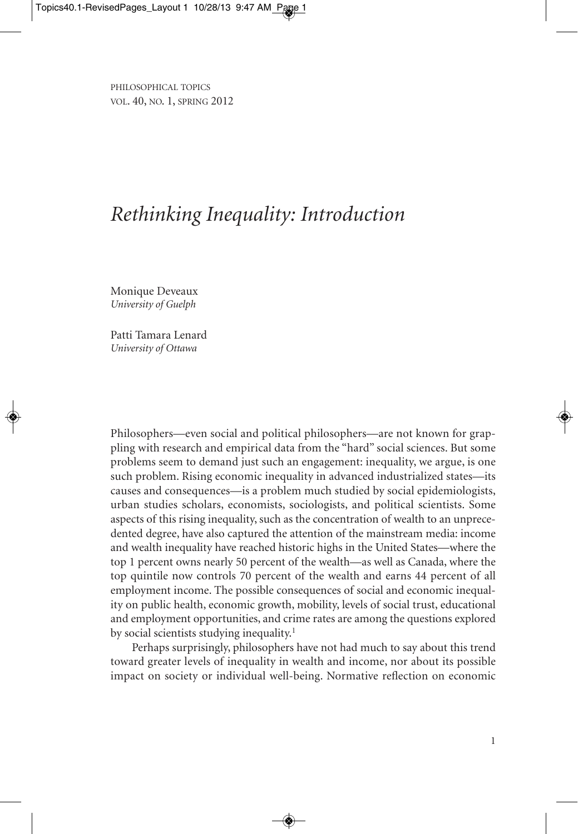PHILOSOPHICAL TOPICS VOL. 40, NO. 1, SPRING 2012

## *Rethinking Inequality: Introduction*

Monique Deveaux *University of Guelph*

Patti Tamara Lenard *University of Ottawa*

Philosophers—even social and political philosophers—are not known for grappling with research and empirical data from the "hard" social sciences. But some problems seem to demand just such an engagement: inequality, we argue, is one such problem. Rising economic inequality in advanced industrialized states—its causes and consequences—is a problem much studied by social epidemiologists, urban studies scholars, economists, sociologists, and political scientists. Some aspects of this rising inequality, such as the concentration of wealth to an unprecedented degree, have also captured the attention of the mainstream media: income and wealth inequality have reached historic highs in the United States—where the top 1 percent owns nearly 50 percent of the wealth—as well as Canada, where the top quintile now controls 70 percent of the wealth and earns 44 percent of all employment income. The possible consequences of social and economic inequality on public health, economic growth, mobility, levels of social trust, educational and employment opportunities, and crime rates are among the questions explored by social scientists studying inequality.<sup>1</sup>

Perhaps surprisingly, philosophers have not had much to say about this trend toward greater levels of inequality in wealth and income, nor about its possible impact on society or individual well-being. Normative reflection on economic

1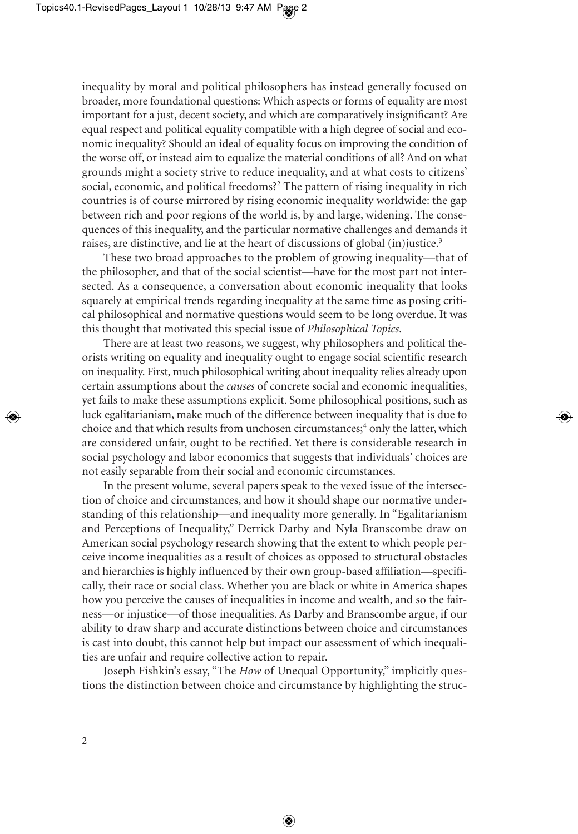inequality by moral and political philosophers has instead generally focused on broader, more foundational questions: Which aspects or forms of equality are most important for a just, decent society, and which are comparatively insignificant? Are equal respect and political equality compatible with a high degree of social and economic inequality? Should an ideal of equality focus on improving the condition of the worse off, or instead aim to equalize the material conditions of all? And on what grounds might a society strive to reduce inequality, and at what costs to citizens' social, economic, and political freedoms?<sup>2</sup> The pattern of rising inequality in rich countries is of course mirrored by rising economic inequality worldwide: the gap between rich and poor regions of the world is, by and large, widening. The consequences of this inequality, and the particular normative challenges and demands it raises, are distinctive, and lie at the heart of discussions of global (in)justice.<sup>3</sup>

These two broad approaches to the problem of growing inequality—that of the philosopher, and that of the social scientist—have for the most part not intersected. As a consequence, a conversation about economic inequality that looks squarely at empirical trends regarding inequality at the same time as posing critical philosophical and normative questions would seem to be long overdue. It was this thought that motivated this special issue of *Philosophical Topics*.

There are at least two reasons, we suggest, why philosophers and political theorists writing on equality and inequality ought to engage social scientific research on inequality. First, much philosophical writing about inequality relies already upon certain assumptions about the *causes* of concrete social and economic inequalities, yet fails to make these assumptions explicit. Some philosophical positions, such as luck egalitarianism, make much of the difference between inequality that is due to choice and that which results from unchosen circumstances; <sup>4</sup> only the latter, which are considered unfair, ought to be rectified. Yet there is considerable research in social psychology and labor economics that suggests that individuals' choices are not easily separable from their social and economic circumstances.

In the present volume, several papers speak to the vexed issue of the intersection of choice and circumstances, and how it should shape our normative understanding of this relationship—and inequality more generally. In "Egalitarianism and Perceptions of Inequality," Derrick Darby and Nyla Branscombe draw on American social psychology research showing that the extent to which people perceive income inequalities as a result of choices as opposed to structural obstacles and hierarchies is highly influenced by their own group-based affiliation—specifically, their race or social class. Whether you are black or white in America shapes how you perceive the causes of inequalities in income and wealth, and so the fairness—or injustice—of those inequalities. As Darby and Branscombe argue, if our ability to draw sharp and accurate distinctions between choice and circumstances is cast into doubt, this cannot help but impact our assessment of which inequalities are unfair and require collective action to repair.

Joseph Fishkin's essay, "The *How* of Unequal Opportunity," implicitly questions the distinction between choice and circumstance by highlighting the struc-

◈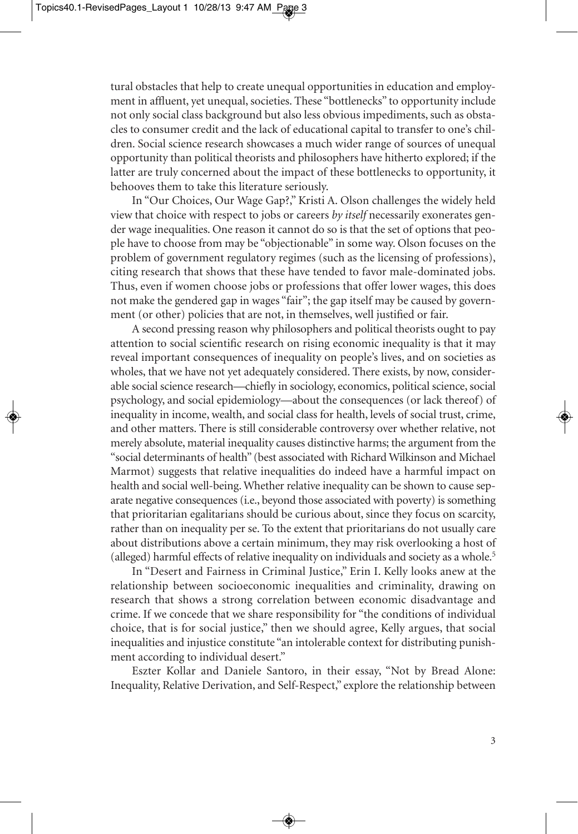tural obstacles that help to create unequal opportunities in education and employment in affluent, yet unequal, societies. These "bottlenecks" to opportunity include not only social class background but also less obvious impediments, such as obstacles to consumer credit and the lack of educational capital to transfer to one's children. Social science research showcases a much wider range of sources of unequal opportunity than political theorists and philosophers have hitherto explored; if the latter are truly concerned about the impact of these bottlenecks to opportunity, it behooves them to take this literature seriously.

In "Our Choices, Our Wage Gap?," Kristi A. Olson challenges the widely held view that choice with respect to jobs or careers *by itself* necessarily exonerates gender wage inequalities. One reason it cannot do so is that the set of options that people have to choose from may be "objectionable" in some way. Olson focuses on the problem of government regulatory regimes (such as the licensing of professions), citing research that shows that these have tended to favor male-dominated jobs. Thus, even if women choose jobs or professions that offer lower wages, this does not make the gendered gap in wages "fair"; the gap itself may be caused by government (or other) policies that are not, in themselves, well justified or fair.

A second pressing reason why philosophers and political theorists ought to pay attention to social scientific research on rising economic inequality is that it may reveal important consequences of inequality on people's lives, and on societies as wholes, that we have not yet adequately considered. There exists, by now, considerable social science research—chiefly in sociology, economics, political science, social psychology, and social epidemiology—about the consequences (or lack thereof) of inequality in income, wealth, and social class for health, levels of social trust, crime, and other matters. There is still considerable controversy over whether relative, not merely absolute, material inequality causes distinctive harms; the argument from the "social determinants of health" (best associated with Richard Wilkinson and Michael Marmot) suggests that relative inequalities do indeed have a harmful impact on health and social well-being.Whether relative inequality can be shown to cause separate negative consequences (i.e., beyond those associated with poverty) is something that prioritarian egalitarians should be curious about, since they focus on scarcity, rather than on inequality per se. To the extent that prioritarians do not usually care about distributions above a certain minimum, they may risk overlooking a host of (alleged) harmful effects of relative inequality on individuals and society as a whole. 5

In "Desert and Fairness in Criminal Justice," Erin I. Kelly looks anew at the relationship between socioeconomic inequalities and criminality, drawing on research that shows a strong correlation between economic disadvantage and crime. If we concede that we share responsibility for "the conditions of individual choice, that is for social justice," then we should agree, Kelly argues, that social inequalities and injustice constitute "an intolerable context for distributing punishment according to individual desert."

Eszter Kollar and Daniele Santoro, in their essay, "Not by Bread Alone: Inequality, Relative Derivation, and Self-Respect," explore the relationship between

◈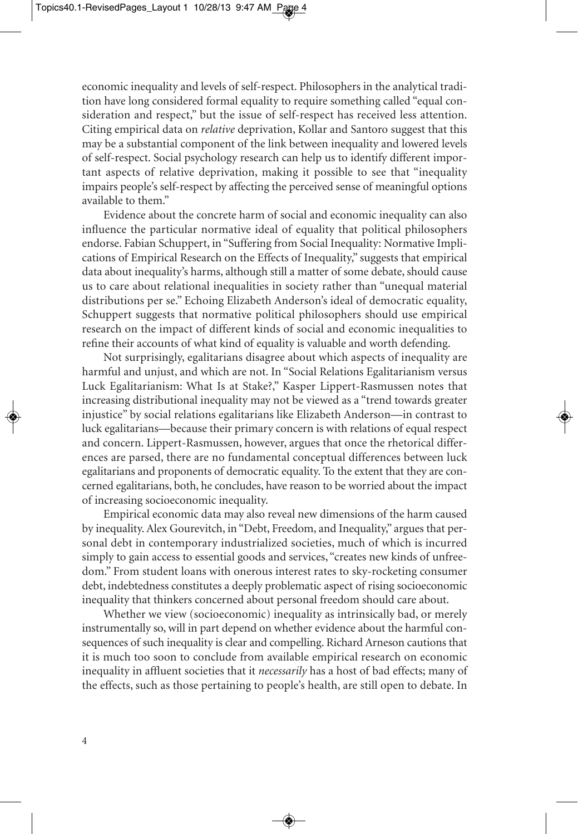economic inequality and levels of self-respect. Philosophers in the analytical tradition have long considered formal equality to require something called "equal consideration and respect," but the issue of self-respect has received less attention. Citing empirical data on *relative* deprivation, Kollar and Santoro suggest that this may be a substantial component of the link between inequality and lowered levels of self-respect. Social psychology research can help us to identify different important aspects of relative deprivation, making it possible to see that "inequality impairs people's self-respect by affecting the perceived sense of meaningful options available to them."

Evidence about the concrete harm of social and economic inequality can also influence the particular normative ideal of equality that political philosophers endorse. Fabian Schuppert, in "Suffering from Social Inequality: Normative Implications of Empirical Research on the Effects of Inequality," suggests that empirical data about inequality's harms, although still a matter of some debate, should cause us to care about relational inequalities in society rather than "unequal material distributions per se." Echoing Elizabeth Anderson's ideal of democratic equality, Schuppert suggests that normative political philosophers should use empirical research on the impact of different kinds of social and economic inequalities to refine their accounts of what kind of equality is valuable and worth defending.

Not surprisingly, egalitarians disagree about which aspects of inequality are harmful and unjust, and which are not. In "Social Relations Egalitarianism versus Luck Egalitarianism: What Is at Stake?," Kasper Lippert-Rasmussen notes that increasing distributional inequality may not be viewed as a "trend towards greater injustice" by social relations egalitarians like Elizabeth Anderson—in contrast to luck egalitarians—because their primary concern is with relations of equal respect and concern. Lippert-Rasmussen, however, argues that once the rhetorical differences are parsed, there are no fundamental conceptual differences between luck egalitarians and proponents of democratic equality. To the extent that they are concerned egalitarians, both, he concludes, have reason to be worried about the impact of increasing socioeconomic inequality.

Empirical economic data may also reveal new dimensions of the harm caused by inequality.Alex Gourevitch, in "Debt, Freedom, and Inequality," argues that personal debt in contemporary industrialized societies, much of which is incurred simply to gain access to essential goods and services, "creates new kinds of unfreedom." From student loans with onerous interest rates to sky-rocketing consumer debt, indebtedness constitutes a deeply problematic aspect of rising socioeconomic inequality that thinkers concerned about personal freedom should care about.

Whether we view (socioeconomic) inequality as intrinsically bad, or merely instrumentally so, will in part depend on whether evidence about the harmful consequences of such inequality is clear and compelling. Richard Arneson cautions that it is much too soon to conclude from available empirical research on economic inequality in affluent societies that it *necessarily* has a host of bad effects; many of the effects, such as those pertaining to people's health, are still open to debate. In

◈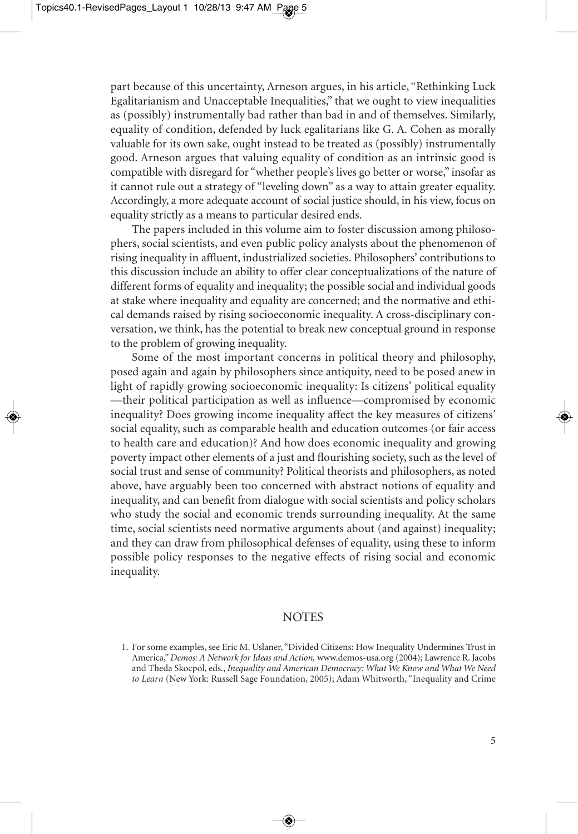part because of this uncertainty, Arneson argues, in his article, "Rethinking Luck Egalitarianism and Unacceptable Inequalities," that we ought to view inequalities as (possibly) instrumentally bad rather than bad in and of themselves. Similarly, equality of condition, defended by luck egalitarians like G. A. Cohen as morally valuable for its own sake, ought instead to be treated as (possibly) instrumentally good. Arneson argues that valuing equality of condition as an intrinsic good is compatible with disregard for "whether people's lives go better or worse," insofar as it cannot rule out a strategy of "leveling down" as a way to attain greater equality. Accordingly, a more adequate account of social justice should, in his view, focus on equality strictly as a means to particular desired ends.

The papers included in this volume aim to foster discussion among philosophers, social scientists, and even public policy analysts about the phenomenon of rising inequality in affluent, industrialized societies. Philosophers' contributions to this discussion include an ability to offer clear conceptualizations of the nature of different forms of equality and inequality; the possible social and individual goods at stake where inequality and equality are concerned; and the normative and ethical demands raised by rising socioeconomic inequality. A cross-disciplinary conversation, we think, has the potential to break new conceptual ground in response to the problem of growing inequality.

Some of the most important concerns in political theory and philosophy, posed again and again by philosophers since antiquity, need to be posed anew in light of rapidly growing socioeconomic inequality: Is citizens' political equality —their political participation as well as influence—compromised by economic inequality? Does growing income inequality affect the key measures of citizens' social equality, such as comparable health and education outcomes (or fair access to health care and education)? And how does economic inequality and growing poverty impact other elements of a just and flourishing society, such as the level of social trust and sense of community? Political theorists and philosophers, as noted above, have arguably been too concerned with abstract notions of equality and inequality, and can benefit from dialogue with social scientists and policy scholars who study the social and economic trends surrounding inequality. At the same time, social scientists need normative arguments about (and against) inequality; and they can draw from philosophical defenses of equality, using these to inform possible policy responses to the negative effects of rising social and economic inequality.

## **NOTES**

<sup>1.</sup> For some examples, see Eric M. Uslaner, "Divided Citizens: How Inequality Undermines Trust in America," *Demos: A Network for Ideas and Action,* www.demos-usa.org (2004); Lawrence R. Jacobs and Theda Skocpol, eds., *Inequality and American Democracy: What We Know and What We Need to Learn* (New York: Russell Sage Foundation, 2005); Adam Whitworth, "Inequality and Crime